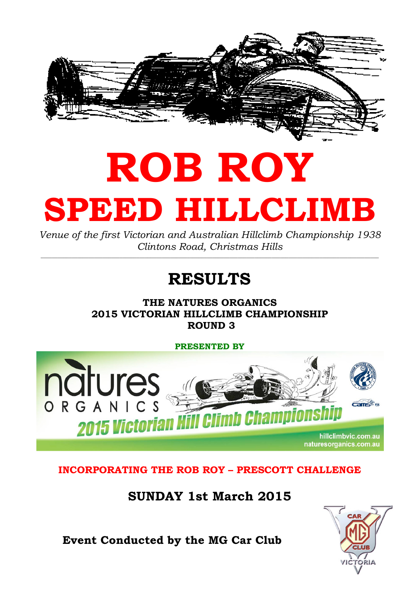

# ROB ROY SPEED HILLCLIMB

Venue of the first Victorian and Australian Hillclimb Championship 1938 Clintons Road, Christmas Hills

## RESULTS

THE NATURES ORGANICS 2015 VICTORIAN HILLCLIMB CHAMPIONSHIP ROUND 3

PRESENTED BY



#### INCORPORATING THE ROB ROY – PRESCOTT CHALLENGE

SUNDAY 1st March 2015



Event Conducted by the MG Car Club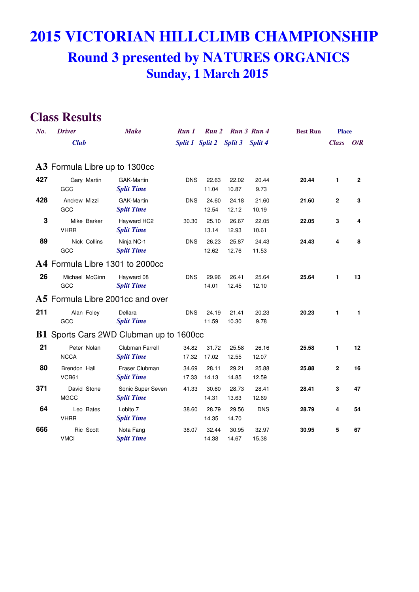| $N0$ . | <b>Driver</b>         |                | <b>Make</b>                             | Run 1          | <b>Run</b> 2            |                | Run 3 Run 4    | <b>Best Run</b> | <b>Place</b> |                |
|--------|-----------------------|----------------|-----------------------------------------|----------------|-------------------------|----------------|----------------|-----------------|--------------|----------------|
|        | <b>Club</b>           |                |                                         |                | Split 1 Split 2 Split 3 |                | Split 4        |                 | <b>Class</b> | O/R            |
|        |                       |                |                                         |                |                         |                |                |                 |              |                |
|        |                       |                | A3 Formula Libre up to 1300cc           |                |                         |                |                |                 |              |                |
| 427    | GCC                   | Gary Martin    | GAK-Martin<br><b>Split Time</b>         | <b>DNS</b>     | 22.63<br>11.04          | 22.02<br>10.87 | 20.44<br>9.73  | 20.44           | 1            | $\overline{2}$ |
| 428    | Andrew Mizzi<br>GCC   |                | <b>GAK-Martin</b><br><b>Split Time</b>  | <b>DNS</b>     | 24.60<br>12.54          | 24.18<br>12.12 | 21.60<br>10.19 | 21.60           | $\mathbf{2}$ | 3              |
| 3      | <b>VHRR</b>           | Mike Barker    | Hayward HC2<br><b>Split Time</b>        | 30.30          | 25.10<br>13.14          | 26.67<br>12.93 | 22.05<br>10.61 | 22.05           | 3            | 4              |
| 89     | GCC                   | Nick Collins   | Ninja NC-1<br><b>Split Time</b>         | <b>DNS</b>     | 26.23<br>12.62          | 25.87<br>12.76 | 24.43<br>11.53 | 24.43           | 4            | 8              |
|        |                       |                | A4 Formula Libre 1301 to 2000cc         |                |                         |                |                |                 |              |                |
| 26     | GCC                   | Michael McGinn | Hayward 08<br><b>Split Time</b>         | <b>DNS</b>     | 29.96<br>14.01          | 26.41<br>12.45 | 25.64<br>12.10 | 25.64           | 1            | 13             |
|        |                       |                | A5 Formula Libre 2001cc and over        |                |                         |                |                |                 |              |                |
| 211    | GCC                   | Alan Foley     | Dellara<br><b>Split Time</b>            | <b>DNS</b>     | 24.19<br>11.59          | 21.41<br>10.30 | 20.23<br>9.78  | 20.23           | 1            | 1.             |
|        |                       |                | B1 Sports Cars 2WD Clubman up to 1600cc |                |                         |                |                |                 |              |                |
| 21     | <b>NCCA</b>           | Peter Nolan    | Clubman Farrell<br><b>Split Time</b>    | 34.82<br>17.32 | 31.72<br>17.02          | 25.58<br>12.55 | 26.16<br>12.07 | 25.58           | 1            | 12             |
| 80     | Brendon Hall<br>VCB61 |                | Fraser Clubman<br><b>Split Time</b>     | 34.69<br>17.33 | 28.11<br>14.13          | 29.21<br>14.85 | 25.88<br>12.59 | 25.88           | $\mathbf 2$  | 16             |
| 371    | <b>MGCC</b>           | David Stone    | Sonic Super Seven<br><b>Split Time</b>  | 41.33          | 30.60<br>14.31          | 28.73<br>13.63 | 28.41<br>12.69 | 28.41           | 3            | 47             |
| 64     | <b>VHRR</b>           | Leo Bates      | Lobito 7<br><b>Split Time</b>           | 38.60          | 28.79<br>14.35          | 29.56<br>14.70 | <b>DNS</b>     | 28.79           | 4            | 54             |
| 666    | <b>VMCI</b>           | Ric Scott      | Nota Fang<br><b>Split Time</b>          | 38.07          | 32.44<br>14.38          | 30.95<br>14.67 | 32.97<br>15.38 | 30.95           | 5            | 67             |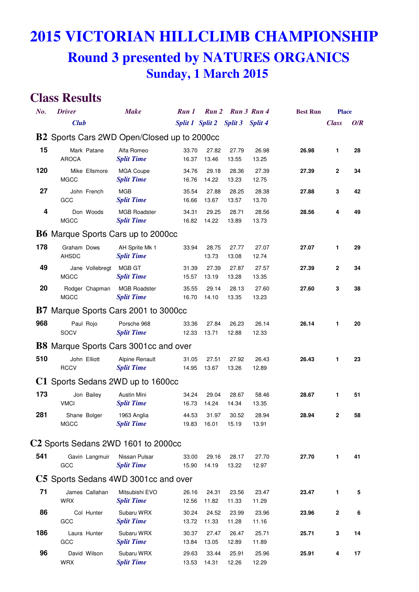| No. | <b>Driver</b>                                | <b>Make</b>                              | Run 1                           | Run 2<br>Run 3 Run 4 |                |                | <b>Best Run</b> | <b>Place</b> |     |  |
|-----|----------------------------------------------|------------------------------------------|---------------------------------|----------------------|----------------|----------------|-----------------|--------------|-----|--|
|     | <b>Club</b>                                  |                                          | Split 1 Split 2 Split 3 Split 4 |                      |                |                |                 | <b>Class</b> | O/R |  |
|     | B2 Sports Cars 2WD Open/Closed up to 2000cc  |                                          |                                 |                      |                |                |                 |              |     |  |
| 15  | Mark Patane<br><b>AROCA</b>                  | Alfa Romeo<br><b>Split Time</b>          | 33.70<br>16.37                  | 27.82<br>13.46       | 27.79<br>13.55 | 26.98<br>13.25 | 26.98           | 1            | 28  |  |
| 120 | Mike Ellsmore<br><b>MGCC</b>                 | <b>MGA Coupe</b><br><b>Split Time</b>    | 34.76<br>16.76                  | 29.18<br>14.22       | 28.36<br>13.23 | 27.39<br>12.75 | 27.39           | 2            | 34  |  |
| 27  | John French<br>GCC                           | <b>MGB</b><br><b>Split Time</b>          | 35.54<br>16.66                  | 27.88<br>13.67       | 28.25<br>13.57 | 28.38<br>13.70 | 27.88           | 3            | 42  |  |
| 4   | Don Woods<br><b>MGCC</b>                     | <b>MGB Roadster</b><br><b>Split Time</b> | 34.31<br>16.82                  | 29.25<br>14.22       | 28.71<br>13.89 | 28.56<br>13.73 | 28.56           | 4            | 49  |  |
|     | <b>B6</b> Marque Sports Cars up to 2000cc    |                                          |                                 |                      |                |                |                 |              |     |  |
| 178 | Graham Dows<br><b>AHSDC</b>                  | AH Sprite Mk 1<br><b>Split Time</b>      | 33.94                           | 28.75<br>13.73       | 27.77<br>13.08 | 27.07<br>12.74 | 27.07           | 1            | 29  |  |
| 49  | Jane Vollebregt<br><b>MGCC</b>               | MGB GT<br><b>Split Time</b>              | 31.39<br>15.57                  | 27.39<br>13.19       | 27.87<br>13.28 | 27.57<br>13.35 | 27.39           | $\mathbf{2}$ | 34  |  |
| 20  | Rodger Chapman<br><b>MGCC</b>                | <b>MGB Roadster</b><br><b>Split Time</b> | 35.55<br>16.70                  | 29.14<br>14.10       | 28.13<br>13.35 | 27.60<br>13.23 | 27.60           | 3            | 38  |  |
|     | <b>B7</b> Marque Sports Cars 2001 to 3000cc  |                                          |                                 |                      |                |                |                 |              |     |  |
| 968 | Paul Rojo<br>SOCV                            | Porsche 968<br><b>Split Time</b>         | 33.36<br>12.33                  | 27.84<br>13.71       | 26.23<br>12.88 | 26.14<br>12.33 | 26.14           | 1            | 20  |  |
|     | <b>B8</b> Marque Sports Cars 3001cc and over |                                          |                                 |                      |                |                |                 |              |     |  |
| 510 | John Elliott<br><b>RCCV</b>                  | Alpine Renault<br><b>Split Time</b>      | 31.05<br>14.95                  | 27.51<br>13.67       | 27.92<br>13.26 | 26.43<br>12.89 | 26.43           | 1            | 23  |  |
|     | C1 Sports Sedans 2WD up to 1600cc            |                                          |                                 |                      |                |                |                 |              |     |  |
| 173 | Jon Bailey<br><b>VMCI</b>                    | <b>Austin Mini</b><br><b>Split Time</b>  | 34.24<br>16.73                  | 29.04<br>14.24       | 28.67<br>14.34 | 58.46<br>13.35 | 28.67           | 1            | 51  |  |
| 281 | Shane Bolger<br><b>MGCC</b>                  | 1963 Anglia<br><b>Split Time</b>         | 44.53                           | 31.97<br>19.83 16.01 | 30.52<br>15.19 | 28.94<br>13.91 | 28.94           | 2            | 58  |  |
|     | $C2$ Sports Sedans 2WD 1601 to 2000cc        |                                          |                                 |                      |                |                |                 |              |     |  |
| 541 | Gavin Langmuir<br>GCC                        | Nissan Pulsar<br><b>Split Time</b>       | 33.00<br>15.90                  | 29.16<br>14.19       | 28.17<br>13.22 | 27.70<br>12.97 | 27.70           | 1            | 41  |  |
|     | C5 Sports Sedans 4WD 3001cc and over         |                                          |                                 |                      |                |                |                 |              |     |  |
| 71  | James Callahan<br><b>WRX</b>                 | Mitsubishi EVO<br><b>Split Time</b>      | 26.16<br>12.56                  | 24.31<br>11.82       | 23.56<br>11.33 | 23.47<br>11.29 | 23.47           | 1            | 5   |  |
| 86  | Col Hunter<br>GCC                            | Subaru WRX<br><b>Split Time</b>          | 30.24<br>13.72                  | 24.52<br>11.33       | 23.99<br>11.28 | 23.96<br>11.16 | 23.96           | 2            | 6   |  |
| 186 | Laura Hunter<br>GCC                          | Subaru WRX<br><b>Split Time</b>          | 30.37<br>13.84                  | 27.47<br>13.05       | 26.47<br>12.89 | 25.71<br>11.89 | 25.71           | 3            | 14  |  |
| 96  | David Wilson<br>WRX                          | Subaru WRX<br><b>Split Time</b>          | 29.63<br>13.53                  | 33.44<br>14.31       | 25.91<br>12.26 | 25.96<br>12.29 | 25.91           | 4            | 17  |  |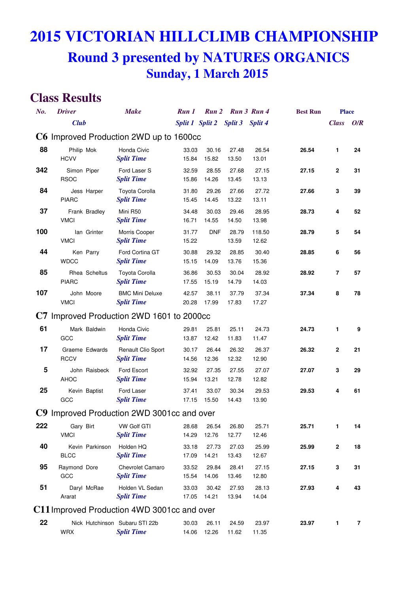| No. | <b>Driver</b>                               | <b>Make</b>                                         | Run 1          |                                 | Run 2 Run 3 Run 4 |                 | <b>Best Run</b> | <b>Place</b> |     |
|-----|---------------------------------------------|-----------------------------------------------------|----------------|---------------------------------|-------------------|-----------------|-----------------|--------------|-----|
|     | <b>Club</b>                                 |                                                     |                | Split 1 Split 2 Split 3 Split 4 |                   |                 |                 | <b>Class</b> | O/R |
|     | C6 Improved Production 2WD up to 1600cc     |                                                     |                |                                 |                   |                 |                 |              |     |
| 88  | Philip Mok<br><b>HCVV</b>                   | Honda Civic<br><b>Split Time</b>                    | 33.03<br>15.84 | 30.16<br>15.82                  | 27.48<br>13.50    | 26.54<br>13.01  | 26.54           | 1            | 24  |
| 342 | Simon Piper<br><b>RSOC</b>                  | Ford Laser S<br><b>Split Time</b>                   | 32.59<br>15.86 | 28.55<br>14.26                  | 27.68<br>13.45    | 27.15<br>13.13  | 27.15           | 2            | 31  |
| 84  | Jess Harper<br><b>PIARC</b>                 | Toyota Corolla<br><b>Split Time</b>                 | 31.80<br>15.45 | 29.26<br>14.45                  | 27.66<br>13.22    | 27.72<br>13.11  | 27.66           | 3            | 39  |
| 37  | Frank Bradley<br><b>VMCI</b>                | Mini R50<br><b>Split Time</b>                       | 34.48<br>16.71 | 30.03<br>14.55                  | 29.46<br>14.50    | 28.95<br>13.98  | 28.73           | 4            | 52  |
| 100 | lan Grinter<br><b>VMCI</b>                  | Morris Cooper<br><b>Split Time</b>                  | 31.77<br>15.22 | <b>DNF</b>                      | 28.79<br>13.59    | 118.50<br>12.62 | 28.79           | 5            | 54  |
| 44  | Ken Parry<br><b>WDCC</b>                    | Ford Cortina GT<br><b>Split Time</b>                | 30.88<br>15.15 | 29.32<br>14.09                  | 28.85<br>13.76    | 30.40<br>15.36  | 28.85           | 6            | 56  |
| 85  | Rhea Scheltus<br><b>PIARC</b>               | <b>Toyota Corolla</b><br><b>Split Time</b>          | 36.86<br>17.55 | 30.53<br>15.19                  | 30.04<br>14.79    | 28.92<br>14.03  | 28.92           | 7            | 57  |
| 107 | John Moore<br><b>VMCI</b>                   | <b>BMC Mini Deluxe</b><br><b>Split Time</b>         | 42.57<br>20.28 | 38.11<br>17.99                  | 37.79<br>17.83    | 37.34<br>17.27  | 37.34           | 8            | 78  |
|     | C7 Improved Production 2WD 1601 to 2000cc   |                                                     |                |                                 |                   |                 |                 |              |     |
| 61  | Mark Baldwin<br>GCC                         | Honda Civic<br><b>Split Time</b>                    | 29.81<br>13.87 | 25.81<br>12.42                  | 25.11<br>11.83    | 24.73<br>11.47  | 24.73           | 1            | 9   |
| 17  | Graeme Edwards<br><b>RCCV</b>               | Renault Clio Sport<br><b>Split Time</b>             | 30.17<br>14.56 | 26.44<br>12.36                  | 26.32<br>12.32    | 26.37<br>12.90  | 26.32           | 2            | 21  |
| 5   | John Raisbeck<br><b>AHOC</b>                | Ford Escort<br><b>Split Time</b>                    | 32.92<br>15.94 | 27.35<br>13.21                  | 27.55<br>12.78    | 27.07<br>12.82  | 27.07           | 3            | 29  |
| 25  | Kevin Baptist<br>GCC                        | Ford Laser<br><b>Split Time</b>                     | 37.41<br>17.15 | 33.07<br>15.50                  | 30.34<br>14.43    | 29.53<br>13.90  | 29.53           | 4            | 61  |
|     | C9 Improved Production 2WD 3001cc and over  |                                                     |                |                                 |                   |                 |                 |              |     |
| 222 | Gary Birt<br><b>VMCI</b>                    | <b>VW Golf GTI</b><br><b>Split Time</b>             | 28.68<br>14.29 | 26.54<br>12.76                  | 26.80<br>12.77    | 25.71<br>12.46  | 25.71           | 1            | 14  |
| 40  | Kevin Parkinson<br><b>BLCC</b>              | Holden HQ<br><b>Split Time</b>                      | 33.18<br>17.09 | 27.73<br>14.21                  | 27.03<br>13.43    | 25.99<br>12.67  | 25.99           | 2            | 18  |
| 95  | Raymond Dore<br>GCC                         | <b>Chevrolet Camaro</b><br><b>Split Time</b>        | 33.52<br>15.54 | 29.84<br>14.06                  | 28.41<br>13.46    | 27.15<br>12.80  | 27.15           | 3            | 31  |
| 51  | Daryl McRae<br>Ararat                       | Holden VL Sedan<br><b>Split Time</b>                | 33.03<br>17.05 | 30.42<br>14.21                  | 27.93<br>13.94    | 28.13<br>14.04  | 27.93           | 4            | 43  |
|     | C11 Improved Production 4WD 3001cc and over |                                                     |                |                                 |                   |                 |                 |              |     |
| 22  | <b>WRX</b>                                  | Nick Hutchinson Subaru STI 22b<br><b>Split Time</b> | 30.03<br>14.06 | 26.11<br>12.26                  | 24.59<br>11.62    | 23.97<br>11.35  | 23.97           | 1            | 7   |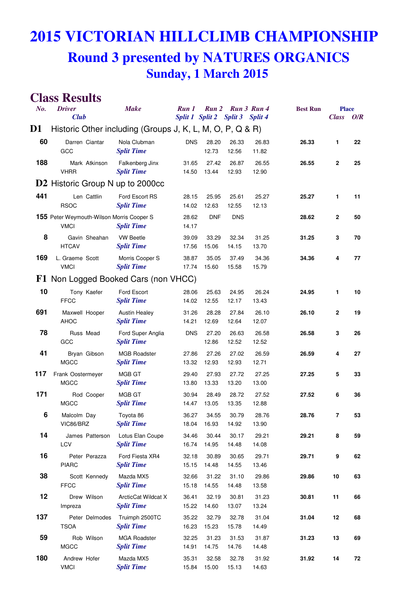## **2015 VICTORIAN HILLCLIMB CHAMPIONSHIP**

#### **Round 3 presented by NATURES ORGANICS Sunday, 1 March 2015**

| No. | <b>Driver</b><br><b>Club</b>                                    | <b>Make</b>                               |                | Run 1<br>Run <sub>2</sub><br>Split 1 Split 2 |                | Run 3 Run 4<br>Split 3 Split 4 | <b>Best Run</b> | <b>Place</b><br><b>Class</b> | O/R |
|-----|-----------------------------------------------------------------|-------------------------------------------|----------------|----------------------------------------------|----------------|--------------------------------|-----------------|------------------------------|-----|
| D1  | Historic Other including (Groups J, K, L, M, O, P, Q & R)       |                                           |                |                                              |                |                                |                 |                              |     |
| 60  | Darren Ciantar<br>GCC                                           | Nola Clubman<br><b>Split Time</b>         | <b>DNS</b>     | 28.20<br>12.73                               | 26.33<br>12.56 | 26.83<br>11.82                 | 26.33           | 1                            | 22  |
| 188 | Mark Atkinson<br><b>VHRR</b>                                    | Falkenberg Jinx<br><b>Split Time</b>      | 31.65<br>14.50 | 27.42<br>13.44                               | 26.87<br>12.93 | 26.55<br>12.90                 | 26.55           | $\mathbf{2}$                 | 25  |
|     | <b>D2</b> Historic Group N up to 2000cc                         |                                           |                |                                              |                |                                |                 |                              |     |
| 441 | Len Cattlin<br><b>RSOC</b>                                      | Ford Escort RS<br><b>Split Time</b>       | 28.15<br>14.02 | 25.95<br>12.63                               | 25.61<br>12.55 | 25.27<br>12.13                 | 25.27           | 1                            | 11  |
|     | <b>155</b> Peter Weymouth-Wilson Morris Cooper S<br><b>VMCI</b> | <b>Split Time</b>                         | 28.62<br>14.17 | <b>DNF</b>                                   | <b>DNS</b>     |                                | 28.62           | $\mathbf{2}$                 | 50  |
| 8   | Gavin Sheahan<br><b>HTCAV</b>                                   | <b>VW Beetle</b><br><b>Split Time</b>     | 39.09<br>17.56 | 33.29<br>15.06                               | 32.34<br>14.15 | 31.25<br>13.70                 | 31.25           | 3                            | 70  |
| 169 | L. Graeme Scott<br><b>VMCI</b>                                  | Morris Cooper S<br><b>Split Time</b>      | 38.87<br>17.74 | 35.05<br>15.60                               | 37.49<br>15.58 | 34.36<br>15.79                 | 34.36           | 4                            | 77  |
|     | F1 Non Logged Booked Cars (non VHCC)                            |                                           |                |                                              |                |                                |                 |                              |     |
| 10  | Tony Kaefer<br><b>FFCC</b>                                      | Ford Escort<br><b>Split Time</b>          | 28.06<br>14.02 | 25.63<br>12.55                               | 24.95<br>12.17 | 26.24<br>13.43                 | 24.95           | 1                            | 10  |
| 691 | Maxwell Hooper<br><b>AHOC</b>                                   | <b>Austin Healey</b><br><b>Split Time</b> | 31.26<br>14.21 | 28.28<br>12.69                               | 27.84<br>12.64 | 26.10<br>12.07                 | 26.10           | $\mathbf{2}$                 | 19  |
| 78  | Russ Mead<br>GCC                                                | Ford Super Anglia<br><b>Split Time</b>    | <b>DNS</b>     | 27.20<br>12.86                               | 26.63<br>12.52 | 26.58<br>12.52                 | 26.58           | 3                            | 26  |
| 41  | Bryan Gibson<br><b>MGCC</b>                                     | <b>MGB Roadster</b><br><b>Split Time</b>  | 27.86<br>13.32 | 27.26<br>12.93                               | 27.02<br>12.93 | 26.59<br>12.71                 | 26.59           | 4                            | 27  |
| 117 | Frank Oostermeyer<br><b>MGCC</b>                                | MGB GT<br><b>Split Time</b>               | 29.40<br>13.80 | 27.93<br>13.33                               | 27.72<br>13.20 | 27.25<br>13.00                 | 27.25           | 5                            | 33  |
| 171 | Rod Cooper<br><b>MGCC</b>                                       | MGB GT<br><b>Split Time</b>               | 30.94<br>14.47 | 28.49<br>13.05                               | 28.72<br>13.35 | 27.52<br>12.88                 | 27.52           | 6                            | 36  |
| 6   | Malcolm Day<br>VIC86/BRZ                                        | Toyota 86<br><b>Split Time</b>            | 36.27<br>18.04 | 34.55<br>16.93                               | 30.79<br>14.92 | 28.76<br>13.90                 | 28.76           | 7                            | 53  |
| 14  | James Patterson<br>LCV                                          | Lotus Elan Coupe<br><b>Split Time</b>     | 34.46<br>16.74 | 30.44<br>14.95                               | 30.17<br>14.48 | 29.21<br>14.08                 | 29.21           | 8                            | 59  |
| 16  | Peter Perazza<br><b>PIARC</b>                                   | Ford Fiesta XR4<br><b>Split Time</b>      | 32.18<br>15.15 | 30.89<br>14.48                               | 30.65<br>14.55 | 29.71<br>13.46                 | 29.71           | 9                            | 62  |
| 38  | Scott Kennedy<br><b>FFCC</b>                                    | Mazda MX5<br><b>Split Time</b>            | 32.66<br>15.18 | 31.22<br>14.55                               | 31.10<br>14.48 | 29.86<br>13.58                 | 29.86           | 10                           | 63  |
| 12  | Drew Wilson<br>Impreza                                          | ArcticCat Wildcat X<br><b>Split Time</b>  | 36.41<br>15.22 | 32.19<br>14.60                               | 30.81<br>13.07 | 31.23<br>13.24                 | 30.81           | 11                           | 66  |
| 137 | Peter Delmodes<br><b>TSOA</b>                                   | Truimph 2500TC<br><b>Split Time</b>       | 35.22<br>16.23 | 32.79<br>15.23                               | 32.78<br>15.78 | 31.04<br>14.49                 | 31.04           | 12                           | 68  |
| 59  | Rob Wilson<br><b>MGCC</b>                                       | <b>MGA Roadster</b><br><b>Split Time</b>  | 32.25<br>14.91 | 31.23<br>14.75                               | 31.53<br>14.76 | 31.87<br>14.48                 | 31.23           | 13                           | 69  |
| 180 | Andrew Hofer<br><b>VMCI</b>                                     | Mazda MX5<br><b>Split Time</b>            | 35.31<br>15.84 | 32.58<br>15.00                               | 32.78<br>15.13 | 31.92<br>14.63                 | 31.92           | 14                           | 72  |